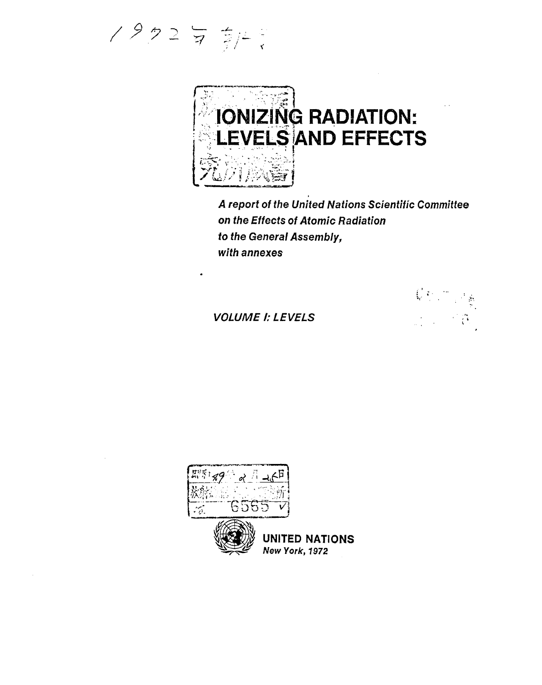/ タク2 J 京/L ;



A report of the United Nations Scientific Committee *on* the Effects of Atomic Radiation to the General Assembly, with annexes

VOLUME I: LEVELS



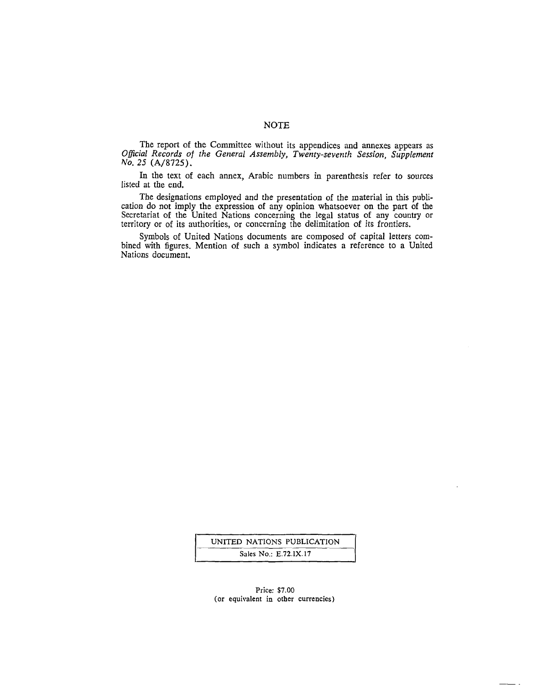## NOTE

The report of the Committee without its appendices and annexes appears as *Official Records of the General Assembly, Twenty-seventh Session, Supplement*  No. 25 (A/8725).

In the text of each annex, Arabic numbers in parenthesis refer to sources listed at the end.

The designations employed and the presentation of the material in this publication do not imply the expression of any opinion whatsoever on the part of the Secretariat of the United Nations concerning the legal status of any country or territory or of its authorities, or concerning the delimitation of its frontiers.

Symbols of United Nations documents are composed of capital letters combined with figures. Mention of such a symbol indicates a reference to a United Nations document.

> UNITED NATIONS PUBLICATION Sales No.: E.72.IX.17

#### Price: \$7.00 (or equivalent in other currencies)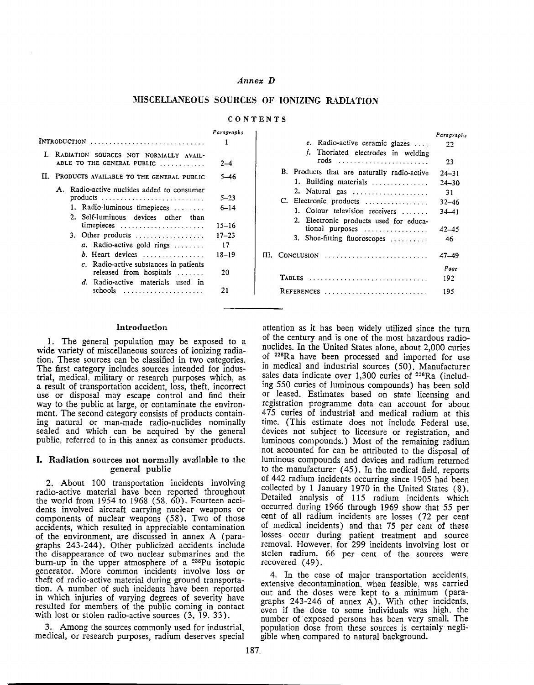## *Annex D*

## **MISCELLANEOUS SOURCES OF IONIZING RADIATION**

### **CONTENTS**

|    | $Intra$ duction $\ldots \ldots \ldots \ldots \ldots \ldots \ldots \ldots \ldots$                                                                                                                                                                                                                                                                   | Paragraphs                                                            |
|----|----------------------------------------------------------------------------------------------------------------------------------------------------------------------------------------------------------------------------------------------------------------------------------------------------------------------------------------------------|-----------------------------------------------------------------------|
|    | I. RADIATION SOURCES NOT NORMALLY AVAIL-<br>ABLE TO THE GENERAL PUBLIC                                                                                                                                                                                                                                                                             | $2 - 4$                                                               |
| Н. | PRODUCTS AVAILABLE TO THE GENERAL PUBLIC                                                                                                                                                                                                                                                                                                           | 5–46                                                                  |
|    | A. Radio-active nuclides added to consumer<br>$\text{products}$<br>1. Radio-luminous timepieces<br>2. Self-luminous devices other than<br>timepieces<br>3. Other products<br>a. Radio-active gold rings<br>b. Heart devices<br>c. Radio-active substances in patients<br>released from hospitals<br>d. Radio-active materials used in<br>$schools$ | $5 - 23$<br>$6 - 14$<br>15–16<br>$17 - 23$<br>17<br>18–19<br>20<br>21 |

|                                                                      | Paragraphs |
|----------------------------------------------------------------------|------------|
| e. Radio-active ceramic glazes                                       | 22         |
| f. Thoriated electrodes in welding                                   |            |
|                                                                      | 23         |
| B. Products that are naturally radio-active                          | $24 - 31$  |
| 1. Building materials                                                | $24 - 30$  |
| 2. Natural gas                                                       | 31         |
| C. Electronic products                                               | $32 - 46$  |
| 1. Colour television receivers                                       | $34 - 41$  |
| 2. Electronic products used for educa-                               |            |
| tional purposes                                                      | $42 - 45$  |
| 3. Shoe-fitting fluoroscopes                                         | 46         |
| $III.$ Conclusion $\ldots \ldots \ldots \ldots \ldots \ldots \ldots$ | $47 - 49$  |
|                                                                      | Page       |
| TABLES                                                               | 192        |
| REFERENCES                                                           | 195        |

#### **Introduction**

1. The general population may be exposed to a wide variety of miscellaneous sources of ionizing radiation. These sources can be classified in two categories. The first category includes sources intended for industrial, medical, military or research purposes which. as a result of transportation accident, loss, theft, incorrect use or disposal may escape control and find their way to the public at large, or contaminate the environment. The second category consists of products containing natural or man-made radio-nuclides nominally sealed and which can be acquired by the general public. referred to in this annex as consumer products.

### I. Radiation sources not normally available to the **general public**

2. About 100 transportation incidents involving radio-active material have been reported throughout the world from 1954 to 1968 (58, 60). Fourteen accidents involved aircraft carrying nuclear weapons or components of nuclear weapons (58). Two of those accidents, which resulted in appreciable contamination of the environment, are discussed in annex A (paragraphs 243-244). Other publicized accidents include the disappearance of two nuclear submarines and the burn-up in the upper atmosphere of a 238Pu isotopic generator. More common incidents involve loss or theft of radio-active material during ground transportation. A number of such incidents have been reported in which injuries of varying degrees of severity have resulted for members of the public coming in contact with lost or stolen radio-active sources (3, 19, 33).

3. Among the sources commonly used for industrial. medical, or research purposes, radium deserves special

attention as it has been widely utilized since the turn of the century and is one of the most hazardous radionuclides. In the United States alone, about 2,000 curies of 226Ra have been processed and imported for use in medical and industrial sources ( 50). Manufacturer sales data indicate over 1,300 curies of <sup>226</sup>Ra (including 550 curies of luminous compounds) has been sold or leased. Estimates based on state licensing and registration programme data can account for about 475 curies of industrial and medical radium at this time. (This estimate does not include Federal use, devices not subject to licensure or registration, and luminous compounds.) Most of the remaining radium not accounted for can be attributed to the disposal of luminous compounds and devices and radium returned to the manufacturer ( 45). In the medical field, reports of 442 radium incidents occurring since 1905 had been collected by 1 January 1970 in the United States ( 8). Detailed analysis of 115 radium incidents which occurred during 1966 through 1969 show that 55 per cent of all radium incidents are losses (72 per cent of medical incidents) and that 75 per cent of these losses occur during patient treatment and source removal. However. for 299 incidents involving lost or stolen radium, 66 per cent of the sources were recovered (49).

4. In the case of major transportation accidents. extensive decontamination. when feasible. was carried out and the doses were kept to a minimum (paragraphs  $243-246$  of annex  $\overrightarrow{A}$ ). With other incidents, even if the dose to some individuals was high. the number of exposed persons has been very small. The population dose from these sources is certainly negligible when compared to natural background.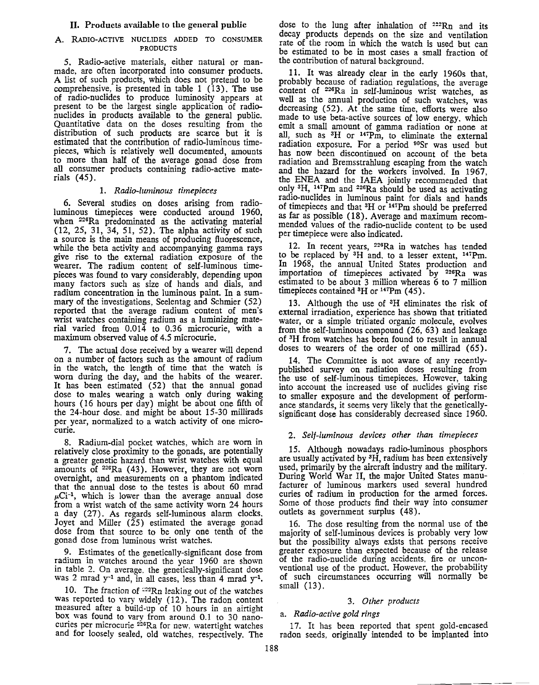## II. Products available to the general public

## A. RADIO-ACTIVE NUCLIDES ADDED TO CONSUMER PRODUCTS

5. Radio-active materials, either natural or manmade, are often incorporated into consumer products. A list of such products, which does not pretend to be comprehensive, is presented in table 1 ( 13). The use of radio-nuclides to produce luminosity appears at present to be the largest single application of radionuclides in products available to the general public. Quantitative data on the doses resulting from the distribution of such products are scarce but it is estimated that the contribution of radi0-luminous timepieces, which is relatively well documented, amounts to more than half of the average gonad dose from all consumer products containing radio-active materials (45).

# 1. *Radio-luminous timepieces*

6. Several studies on doses arising from radioluminous timepieces were conducted around 1960, when 226Ra predominated as the activating material (12, 25, 31, 34, 51, 52). The alpha activity of such a source is the main means of producing fluorescence, while the beta activity and accompanying gamma rays give rise to the external radiation exposure of the wearer. The radium content of self-luminous timepieces was found to vary considerably, depending upon many factors such as size of hands and dials, and radium concentration in the luminous paint. In a summary of the investigations, Seelentag and Schmier (52) reported that the average radium content of men's wrist watches containing radium as a luminizing material varied from 0.014 to 0.36 microcurie, with a maximum observed value of 4.5 microcurie.

7. The actual dose received by a wearer will depend on a number of factors such as the amount of radium in the watch, the length of time that the watch is worn during the day, and the habits of the wearer. It has been estimated (52) that the annual gonad dose to males wearing a watch only during waking hours (16 hours per day) might be about one fifth of the 24-hour dose. and might be about 15-30 millirads per year, normalized to a watch activity of one microcurie.

8. Radium-dial pocket watches, which are worn in relatively close proximity to the gonads, are potentially a greater genetic hazard than wrist watches with equal amounts of <sup>226</sup>Ra (43). However, they are not worn overnight, and measurements on a phantom indicated that the annual dose to the testes is about 60 mrad  $\mu$ Ci<sup>-1</sup>, which is lower than the average annual dose from a wrist watch of the same activity worn 24 hours a day (27). As regards self-luminous alarm clocks. Joyet and Miller  $(25)$  estimated the average gonad dose from that source to be only one tenth of the gonad dose from luminous wrist watches.

9. Estimates of the genetically-significant dose from radium in watches around the year 1960 are shown in table 2. On average. the genetically-significant dose was 2 mrad  $y^{-1}$  and, in all cases, less than 4 mrad  $y^{-1}$ .

10. The fraction of  $22Rn$  leaking out of the watches was reported to vary widely  $(12)$ . The radon content measured after a build-up of 10 hours in an airtight box was found to varv from around 0.1 to 30 nanocuries per microcurie <sup>226</sup>Ra for new. watertight watches and for loosely sealed, old watches, respectively. The

dose to the lung after inhalation of  $222Rn$  and its decay products depends on the size and ventilation rate of the room in which the watch is used but can be estimated to be in most cases a small fraction of the contribution of natural background.

11. It was already clear in the early 1960s that, probably because of radiation regulations, the average content of <sup>226</sup>Ra in self-luminous wrist watches, as well as the annual production of such watches, was decreasing (52). At the same time, efforts were also made to use beta-active sources of low energy, which emit a small amount of gamma radiation or none at all, such as <sup>3</sup>H or <sup>147</sup>Pm, to eliminate the external radiation exposure. For a period <sup>90</sup>Sr was used but has now been discontinued on account of the beta radiation and Bremsstrahlung escaping from the watch and the hazard for the workers involved. In 1967, the ENEA and the IAEA jointly recommended that only 3 H, 147Pm and 226Ra should be used as activating radio-nuclides in luminous paint for dials and hands of timepieces and that <sup>3</sup>H or <sup>147</sup>Pm should be preferred as far as possible (18). Average and maximum recommended values of the radio-nuclide content to be used per timepiece were also indicated.

12. In recent years, 226Ra in watches has tended to be replaced by 3H and, to a lesser extent, 147Pm. In 1968, the annual United States production and importation of timepieces activated by 226Ra was estimated to be about 3 million whereas 6 to 7 million timepieces contained <sup>3</sup>H or <sup>147</sup>Pm (45).

13. Although the use of 3H eliminates the risk of external irradiation, experience has shown that tritiated water, or a simple tritiated organic molecule, evolves from the self-luminous compound (26, 63) and leakage of 3H from watches has been found to result in annual doses to wearers of the order of one millirad (65).

14. The Committee is not aware of any recentlypublished survey on radiation doses resulting from the use of self-luminous timepieces. However, taking into account the increased use of nuclides giving rise to smaller exposure and the development of performance standards, it seems very likely that the geneticallysignificant dose has considerably decreased since 1960.

# 2. *Self-luminous devices other than timepieces*

15. Although nowadays radio-luminous phosphors are usually activated by 3H, radium bas been extensively used, primarily by the aircraft industry and the military. During World War II, the major United States manufacturer of luminous markers used several hundred curies of radium in production for the armed forces. Some of those products find their way into consumer outlets as government surplus ( 48).

16. The dose resulting from the normal use of the majority of self-luminous devices is probably very low but the possibility always exists that persons receive greater exposure than expected because of the release of the radio-nuclide during accidents, fire or unconventional use of the product. However, the probability of such circumstances occurring will normally be small (13).

# 3. *Other products*

# a. *Radio-active gold rings*

17. It has been reported that spent gold-encased radon seeds, originally intended to be implanted into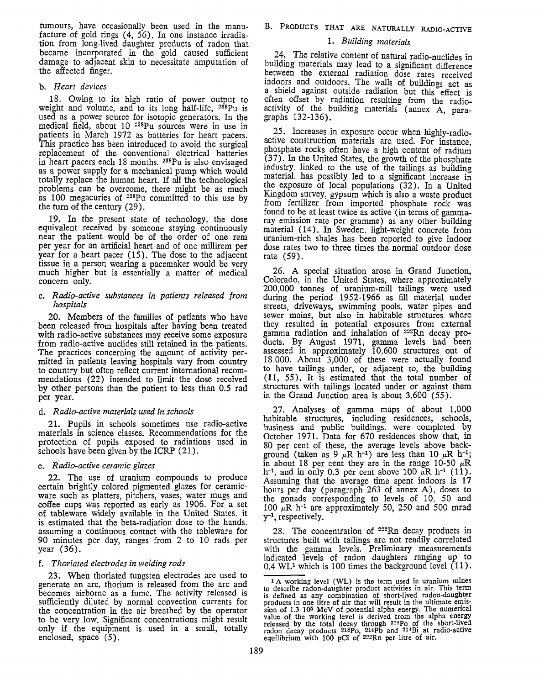tumours, have occasionally been used in the manufacture of gold rings ( 4, 56). In one instance irradiation from long-lived daughter products of radon that became incorporated in the gold caused sufficient damage to adjacent skin to necessitate amputation of the affected finger.

## b. *Heart devices*

18. Owing to its high ratio of power output to weight and volume, and to its long half-life, <sup>238</sup>Pu is used as a power source for isotopic generators. In the medical field, about  $10^{-238}$ Pu sources were in use in patients in March 1972 as batteries for heart pacers. This practice has been introduced to avoid the surgical replacement of the conventional electrical batteries in heart pacers each 18 months. 238Pu is also envisaged as a power supply for a mechanical pump which would totally replace the human heart. If all the technological problems can be overcome, there might be as much as 100 megacuries of  $238\text{Pu}$  committed to this use by the tum of the century (29).

19. In the present state of technology, the dose equivalent received by someone staying continuously near the patient would be of the order of one rem per year for an artificial heart and of one millirem per year for a heart pacer (15). The dose to the adjacent tissue in a person wearing a pacemaker would be very much higher but is essentially a matter of medical concern only.

## c. *Radio-active substances in patients released from hospitals*

20. Members of the families of patients who have been released from hospitals after having been treated with radio-active substances may receive some exposure from radio-active nuclides still retained in the patients. The practices concerning the amount of activity permitted in patients leaving hospitals vary from country to country but often reflect current international recommendations (22) intended to limit the dose received by other persons than the patient to less than 0.5 rad per year.

## d. *Radio-active materials used in schools*

21. Pupils in schools sometimes use radio-active materials in science classes. Recommendations for the protection of pupils exposed to radiations used in schools have been given by the ICRP (21).

## e. *Radio-active ceramic glazes*

22. The use of uranium compounds to produce certain brightly colored pigmented glazes for ceramicware such as platters, pitchers, vases, water mugs and coffee cups was reported as early as 1906. For a set of tableware widely available in the United States, it is estimated that the beta-radiation dose to the hands, assuming a continuous contact with the tableware for 90 minutes per day, ranges from 2 to 10 rads per year (36).

## f. *Thoriated electrodes in welding rods*

23. When thoriated tungsten electrodes are used to generate an arc, thorium is released from the arc and becomes airborne as a fume. The activity released is sufficiently diluted by normal convection currents for the concentration in the air breathed by the operator to be very low. Significant concentrations might result only if the equipment is used in a small, totally enclosed, space (5).

## 1. *Building materials*

24. The relative content of natural radio-nuclides in building materials may lead to a significant difference between the external radiation dose rates received indoors and outdoors. The walls of buildings act as a shield against outside radiation but this effect is often offset by radiation resulting from the radioactivity of the building materials (annex A, paragraphs 132-136).

 $25.$  Increases in exposure occur when highly-radioactive construction materials are used. For instance, phosphate rocks often have a high content of radium  $(37)$ . In the United States, the growth of the phosphate mdustry. linked to the use of the tailings as building material, bas possibly led to a significant increase in the exposure of local populations (32). In a United Kingdom survey, gypsum which is also a waste product from fertilizer from imported phosphate rock was found to be at least twice as active (in terms of gammaray emission rate per gramme) as any other building material ( 14). In Sweden, light-weight concrete from uranium-rich shales has been reported to give indoor dose rates two to three times the normal outdoor dose rate (59).

26. A special situation arose in Grand Junction, Colorado, in the United States, where approximately 200,000 tonnes of uranium-mill tailings were used during the period 1952-1966 as fill material under streets, driveways, swimming pools, water pipes and sewer mains, but also in habitable structures where they resulted in potential exposures from external gamma radiation and inhalation of 222Rn decay products. By August 1971, gamma levels had been assessed in approximately 10,600 structures out of 18,000. About 3,000 of these were actually found to have tailings under, or adjacent to, the building (11, 55). It is estimated that the total number of structures with tailings located under or against them in the Grand Junction area is about 3,600 (55).

27. Analyses of gamma maps of about 1,000 habitable structures, including residences, schools, business and public buildings. were completed by October 1971. Data for 670 residences show that, in 80 per cent of these, the average levels above background (taken as 9  $\mu$ R h<sup>-1</sup>) are less than 10  $\mu$ R h<sup>-1</sup>; in about 18 per cent they are in the range 10-50  $\mu$ R  $h^{-1}$ , and in only 0.3 per cent above 100  $\mu$ R  $h^{-1}$  (11). Assuming that the average time spent indoors is 17 hours per day (paragraph 263 of annex A), doses to the gonads corresponding to levels of 10, 50 and 100  $\mu$ R h<sup>-1</sup> are approximately 50, 250 and 500 mrad y-1, respectively.

28. The concentration of *<sup>222</sup>*Rn decay products in structures built with tailings are not readily correlated with the gamma levels. Preliminary measurements indicated levels of radon daughters ranging up to  $0.4 \text{ WL}^1$  which is 100 times the background level  $(11)$ .

<sup>1</sup> A working level (WL) is the term used in uranium mines to describe radon-daughter product activities in air. This term is defined as any combination of short-lived radon-daughter products in one litre of air that will result in the ultimate emission of 1.3 105 MeV of potential alpha energy. The numerical value of the working level is derived from the alpha energy released by the total decay through <sup>214</sup>Po of the short-lived radon decay products <sup>218</sup>Po, <sup>214</sup>Pb and <sup>214</sup>Bi at radio-active equilibrium with 100 pCi of 222Rn per litre of air.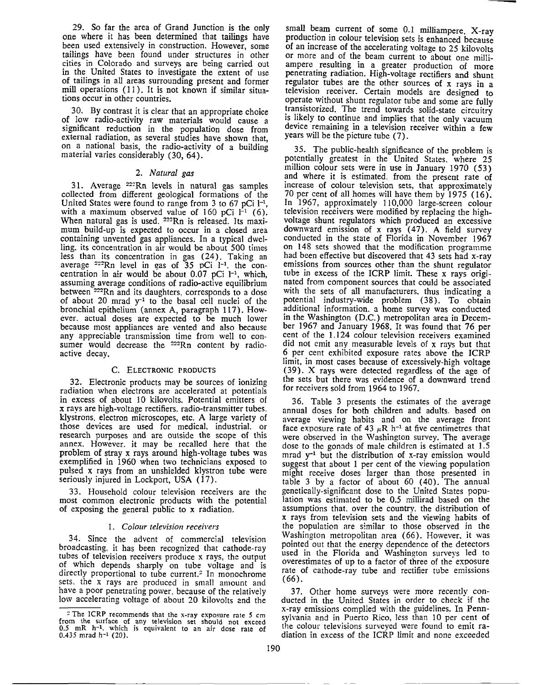29. So far the area of Grand Junction is the only one where it has been determined that tailings have been used extensively in construction. However, some tailings have been found under structures in other cities in Colorado and surveys are being carried out in the United States to investigate the extent of use of tailings in all areas surrounding present and former mill operations (11). It is not known if similar situations occur in other countries.

30. By contrast it is clear that an appropriate choice of low radio-activity raw materials would cause a significant reduction in the population dose from external radiation, as several studies have shown that, on a national basis, the radio-activity of a building material varies considerably (30, 64).

### **2.** *Natural gas*

31. Average 22~Rn levels in natural gas samples collected from different geological formations of the United States were found to range from 3 to 67 pCi  $l^{-1}$ , with a maximum observed value of  $160$  pCi  $1^{-1}$  (6). When natural gas is used. <sup>222</sup>Rn is released. Its maximum build-up is expected to occur in a closed area containing unvented gas appliances. In a typical dwelling. its concentration in air would be about 500 times less than its concentration in gas (24). Taking an average  $2^{2}$ Rn level in gas of 35 pCi  $1^{-1}$ , the concentration in air would be about  $0.07$  pCi  $1^{-1}$ , which, assuming average conditions of radio-active equilibrium between <sup>222</sup>Rn and its daughters, corresponds to a dose of about 20 mrad  $y^{-1}$  to the basal cell nuclei of the bronchial epithelium (annex A, paragraph 117). However. actual doses are expected to be much lower because most appliances are vented and also because any appreciable transmission time from well to consumer would decrease the <sup>222</sup>Rn content by radioactive decay.

## **C. ELECTRONIC PRODUCTS**

32. Electronic products may be sources of ionizing radiation when electrons are accelerated at potentials in excess of about 10 kilovolts. Potential emitters of x rays are high-voltage rectifiers. radio-transmitter tubes. klystrons. electron microscopes, etc. A large variety of those devices are used for medical, industrial. or research purposes and are outside the scope of this annex. However. it may be recalled here that the problem of stray x rays around high-voltage tubes was exemplified in 1960 when two technicians exposed to pulsed x rays from an unshielded klystron tube were seriously injured in Lockport, USA (17).

33. Household colour television receivers are the most common electronic products with the potential of exposing the general public to x radiation.

## I. *Colour television receivers*

34. Since the advent of commercial television broadcasting. it has been recognized that cathode-ray tubes of television receivers produce x rays, the output of which depends sharply on tube voltage and is directly proportional to tube current.<sup>2</sup> In monochrome sets. the x rays are produced in small amount and have a poor penetrating power. because of the relatively low accelerating voltage of about 20 kilovolts 2nd the

small beam current of some  $0.1$  milliampere. X-ray production in colour television sets is enhanced because of an increase of the accelerating voltage to 25 kilovolts or more and of the beam current to about one milliampere resulting in a greater production of more penetrating radiation. High-voltage rectifiers and shunt regulator tubes are the other sources of  $x$  rays in a television receiver. Certain models are designed to operate without shunt regulator tube and some are fully transistorized. The trend towards solid-state circuitry is likely to continue and implies that the only vacuum device remaining in a television receiver within a **few**  years will be the picture tube (7).

35. The public-health significance of the problem is potentially greatest in the United States. where 25 million colour sets were in use in January 1970 (53) and where it is estimated. from the present rate of increase of colour television sets, that approximately 70 per cent of all homes will have them by 1975 (16). In 1967, approximately 110,000 large-screen colour television receivers were modified by replacing the highvoltage shunt regulators which produced an excessive downward emission of x rays (47). A field survey conducted in the state of Florida in November 1967 on 148 sets showed that the modification programme had been effective but discovered that 43 sets had x-ray emissions from sources other than the shunt regulator tube in excess of the ICRP limit. These x rays originated from component sources that could be associated with the sets of all manufacturers. thus indicating a potential industry-wide problem (38). To obtain additional information. a home survey was conducted in the Washington (D.C.) metropolitan area in December 1967 and January 1968. It was found that 76 per cent of the 1.124 colour television receivers examined did not emit any measurable levels of x rays but that 6 per cent exhibited exposure rates above the ICRP limit, in most cases because of excessively-high voltage (39). X rays were detected regardless of the age of the sets but there was evidence of a downward trend for receivers sold from 1964 to 1967.

36. Table 3 presents the estimates of the average annual doses for both children and adults. based on average viewing habits and on the average front face exposure rate of 43  $\mu$ R h<sup>-1</sup> at five centimetres that were observed in the Washington survey. The average dose to the gonads of male children is estimated at 1.5 mrad  $y^{-1}$  but the distribution of x-ray emission would suggest that about 1 per cent of the viewing population might receive doses larger than those presented in table 3 by a factor of about 60 ( 40). The annual genetically-significant dose to the United States population was estimated to be 0.5 millirad based on the assumptions that. over the country. the distribution of x rays from television sets and the viewing habits of the population are similar to those observed in the Washington metropolitan area (66). However, it was pointed out that the energy dependence of the detectors used in the Florida and Washington survevs led to overestimates of up to a factor of three of the exposure rate of cathode-ray tube and rectifier tube emissions (66).

37. Other home surveys were more recently conducted in the United States in order to check if the x-ray emissions complied with the guidelines. In Pennsylvania and in Puerto Rico, less than 10 per cent of the colour televisions surveyed were found to emit radiation in excess of the ICRP limit and none exceeded

<sup>&</sup>lt;sup>2</sup> The ICRP recommends that the x-ray exposure rate 5 cm from the surface of any television set should not exceed 0.5 mR h<sup>-1</sup>, which is equivalent to an air dose rate of  $0.435$  mrad  $h^{-1}$  (20).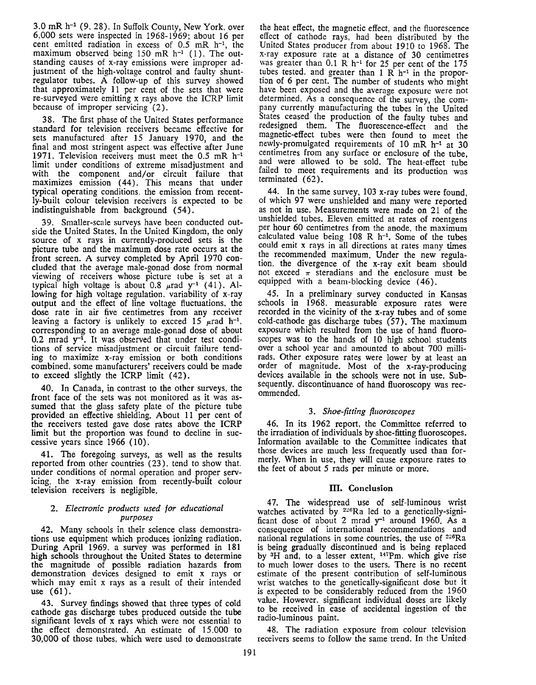$3.0$  mR  $h^{-1}$  (9, 28). In Suffolk County, New York, over 6,000 sets were inspected in 1968-1969; about 16 per cent emitted radiation in excess of  $0.5$  mR  $h^{-1}$ , the maximum observed being  $150$  mR  $h^{-1}$  (1). The outstanding causes of x-ray emissions were improper adjustment of the high-voltage control and faulty shuntregulator tubes. A follow-up of this survey showed that approximately 11 per cent of the sets that were re-surveyed were emitting x rays above the ICRP limit because of improper servicing (2).

38. The first phase of the United States performance standard for television receivers became effective for sets manufactured after 15 January 1970, and the final and most stringent aspect was effective after June 1971. Television receivers must meet the 0.5 mR h-1 limit under conditions of extreme misadjustment and with the component and/or circuit failure that maximizes emission ( 44). This means that under typical operating conditions. the emission from recently-built colour television receivers is expected to be indistinguishable from background ( 54).

39. Smaller-scale surveys have been conducted outside the United States. In the United Kingdom, the only source of x rays in currently-produced sets is the picture tube and the maximum dose rate occurs at the front screen. A survey completed by April 1970 concluded that the average male-gonad dose from normal viewing of receivers whose picture tube is set at a typical high voltage is about 0.8  $\mu$ rad y<sup>-1</sup> (41). Allowing for high voltage regulation. variability of x-ray output and the effect of line voltage fluctuations, the dose rate in air five centimetres from any receiver leaving a factory is unlikely to exceed 15  $\mu$ rad h<sup>-1</sup>, corresponding to an average male-gonad dose of about  $0.2$  mrad  $y^{-1}$ . It was observed that under test conditions of service misadjustment or circuit failure tending to maximize x-ray emission or both conditions combined, some manufacturers' receivers could be made to exceed slightly the ICRP limit  $(42)$ .

40. In Canada, in contrast to the other surveys, the front face of the sets was not monitored as it was assumed that the glass safety plate of the picture tube provided an effective shielding. About 11 per cent of the receivers tested gave dose rates above the ICRP limit but the proportion was found to decline in successive years since 1966 (10).

41. The foregoing surveys, as well as the results reported from other countries (23), tend to show that. under conditions of normal operation and proper servicing, the x-ray emission from recently-built colour television receivers is negligiole.

### 2. *Electronic products used for educational purposes*

42. Many schools in their science class demonstrations use equipment which produces ionizing radiation. During April 1969. a survey was performed in 181 high schools throughout the United States to determine the magnitude of possible radiation hazards from demonstration devices designed to emit x rays or which may emit x rays as a result of their intended use (61).

43. Survey findings showed that three types of cold cathode gas discharge tubes produced outside the **tube**  significant levels of x rays which were not essential to the effect demonstrated. An estimate of 15.000 to 30,000 of those tubes, which were used to demonstrate

the beat effect, the magnetic effect, and the fluorescence effect of cathode rays, had been distributed by the United States producer from about 1910 to 1968. The x-ray exposure rate at a distance of 30 centimetres was greater than 0.1 R h-1 for 25 per cent of the 175 tubes tested, and greater than 1 R  $h^{-1}$  in the proportion of 6 per cent. The number of students who might have been exposed and the average exposure were not determined. As a consequence of the survey, the company currently manufacturing the tubes in the United States ceased the production of the faulty tubes and redesigned them. The fluorescence-effect and the magnetic-effect tubes were then found to meet the newly-promulgated requirements of 10 mR h-1 at 30 centimetres from any surface or enclosure of the tube, and were allowed to be sold. The heat-effect tube failed to meet requirements and its production was terminated (62).

44. In the same survey, 103 x-ray tubes were found, of which 97 were unshielded and many were reported as not in use. Measurements were made on 21 of the unshielded tubes. Eleven emitted at rates of roentgens per hour 60 centimetres from the anode, the maximum calculated value being  $108$  R h<sup>-1</sup>. Some of the tubes could emit X rays in all directions at rates many times the recommended maximum. Under the new regulation. the divergence of the x-ray exit beam should not exceed  $\pi$  steradians and the enclosure must be equipped with a beam-blocking device (46).

45. In a preliminary survey conducted in Kansas schools in 1968, measurable exposure rates were recorded in the vicinity of the x-ray tubes and of some cold-cathode gas discharge tubes (57). The maximum exposure which resulted from the use of hand fluoroscopes was to the bands of 10 high school students over a school year and amounted to about 700 millirads. Other exposure rates were lower by at least an order of magnitude. Most of the x-ray-producing devices available in the schools were not in use. Subsequently, discontinuance of hand fluoroscopy was recommended.

## 3. *Shoe-fitting fiuoroscopes*

46. In its 1962 report, the Committee referred to the irradiation of individuals by shoe-fitting fluoroscopes. Information available to the Committee indicates that those devices are much less frequently used than formerly. When in use, they will cause exposure rates to the feet of about 5 rads per minute or more.

## **m. Conclusion**

47. The widespread use of self-luminous wrist watches activated by  $2^{26}Ra$  led to a genetically-significant dose of about 2 mrad  $y^{-1}$  around 1960. As a consequence of international recommendations and national regulations in some countries. the use of 226Ra is being gradually discontinued and is being replaced by 3H and, to a lesser extent, 147Pm. which give rise to much lower doses to the users. There is no recent estimate of the present contribution of self-luminous wrist watches to the genetically-significant dose but it is expected to be considerably reduced from the 1960 value. However. significant individual doses are likely to be received in case of accidental ingestion of the radio-luminous paint.

48. The radiation exposure from colour television receivers seems to follow the same trend. In the United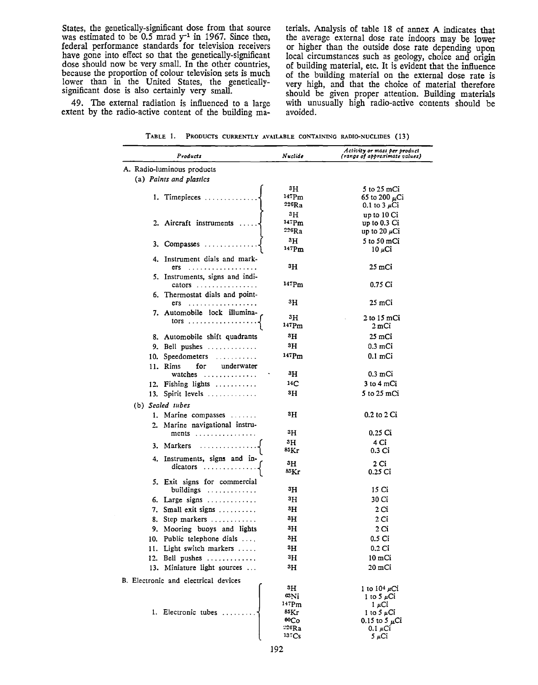States, the genetically-significant dose from that source was estimated to be  $0.5$  mrad  $y^{-1}$  in 1967. Since then, federal performance standards for television receivers have gone into effect so that the genetically-significant dose should now be very small. In the other countries, because the proportion of colour television sets is much lower than in the United States, the geneticallysignificant dose is also certainly very small.

49. The external radiation is influenced to a large extent by the radio-active content of the building ma-

L

terials. Analysis of table 18 of annex A indicates that the average external dose rate indoors may be lower or higher than the outside dose rate depending upon local circumstances such as geology, choice and origin of building material, etc. It is evident that the influence of the building material on the external dose rate is very high, and that the choice of material therefore should be given proper attention. Building materials with unusually high radio-active contents should be avoided.

TABLE 1. PRODUCTS CURRENTLY AVAILABLE CONTAINING RADIO-NUCLIDES (13)

|  | Products                             | Nuclide             | Activity or mass per product<br>(range of approximate values) |
|--|--------------------------------------|---------------------|---------------------------------------------------------------|
|  | A. Radio-luminous products           |                     |                                                               |
|  | (a) Paints and plastics              |                     |                                                               |
|  |                                      | 3H                  | 5 to 25 mCi                                                   |
|  | 1. Timepieces $\ldots$               | 147Pm               | 65 to 200 $\mu$ Ci                                            |
|  |                                      | $^{226}\mathrm{Ra}$ | 0.1 to 3 $\mu$ Ci                                             |
|  |                                      | зH                  | up to 10 Ci                                                   |
|  | 2. Aircraft instruments              | 147 Pm<br>226Ra     | up to 0.3 Ci<br>up to 20 $\mu$ Ci                             |
|  |                                      | 3H                  | 5 to 50 mCi                                                   |
|  | 3. Compasses $\dots$                 | $147$ Pm            | $10 \mu$ Ci                                                   |
|  | 4. Instrument dials and mark-        |                     |                                                               |
|  |                                      | зH                  | 25 mCi                                                        |
|  | 5. Instruments, signs and indi-      |                     |                                                               |
|  | cators $\dots\dots\dots\dots\dots$   | 147 Pm              | 0.75 Ci                                                       |
|  | 6. Thermostat dials and point-       |                     |                                                               |
|  | .<br>ers                             | зн                  | 25 mCi                                                        |
|  | 7. Automobile lock illumina-         | 3H                  | 2 to 15 mCi                                                   |
|  | $tors$                               | $147$ Pm            | 2 mCi                                                         |
|  | 8. Automobile shift quadrants        | 3H                  | 25 mCi                                                        |
|  | 9. Bell pushes                       | 3H                  | $0.3 \text{ mCi}$                                             |
|  | 10. Speedometers                     | 147Pm               | $0.1$ mCi                                                     |
|  | for<br>underwater<br>11. Rims        |                     |                                                               |
|  | watches $\dots\dots\dots\dots\dots$  | зH                  | $0.3$ mCi                                                     |
|  | 12. Fishing lights                   | 14C                 | 3 to 4 mCi                                                    |
|  | 13. Spirit levels                    | 3H                  | 5 to 25 mCi                                                   |
|  | (b) Sealed tubes                     |                     |                                                               |
|  | 1. Marine compasses                  | зH                  | 0.2 to 2 Ci                                                   |
|  | 2. Marine navigational instru-       |                     |                                                               |
|  | ments $\dots\dots\dots\dots\dots$    | зH                  | 0.25 Ci                                                       |
|  |                                      | 3H                  | 4 Ci                                                          |
|  | 3. Markers $\dots \dots$             | 85Kr                | 0.3 Ci                                                        |
|  | 4. Instruments, signs and in-        | зH                  | 2 Ci                                                          |
|  | dicators                             | 85Kr                | 0.25 Ci                                                       |
|  | 5. Exit signs for commercial         |                     |                                                               |
|  | buildings                            | 3H                  | 15 Ci                                                         |
|  | 6. Large signs $\dots \dots \dots$   | зH                  | 30 Ci                                                         |
|  | 7. Small exit signs                  | 3H                  | 2 Ci                                                          |
|  | 8. Step markers                      | зH                  | 2 Ci                                                          |
|  | 9. Mooring buoys and lights          | зH                  | 2 Ci                                                          |
|  | 10. Public telephone dials           | зH                  | 0.5 Ci                                                        |
|  | 11. Light switch markers $\dots$ .   | зн                  | 0.2 <sub>ci</sub>                                             |
|  | 12. Bell pushes                      | 3H                  | 10 mCi                                                        |
|  | 13. Miniature light sources          | зH                  | 20 mCi                                                        |
|  | B. Electronic and electrical devices |                     |                                                               |
|  |                                      | зH                  | 1 to $104 \mu$ Ci                                             |
|  |                                      | $^{\tt sNi}$        | 1 to 5 $\mu$ Ci                                               |
|  | 1. Electronic tubes                  | $147$ Pm<br>85Kr    | $1 \mu Ci$<br>1 to 5 $\mu$ Ci                                 |
|  |                                      | 60Co                | 0.15 to 5 $\mu$ Ci                                            |
|  |                                      | 226Ra               | $0.1 \mu$ Ci                                                  |
|  |                                      | 137Cs               | 5 µCi                                                         |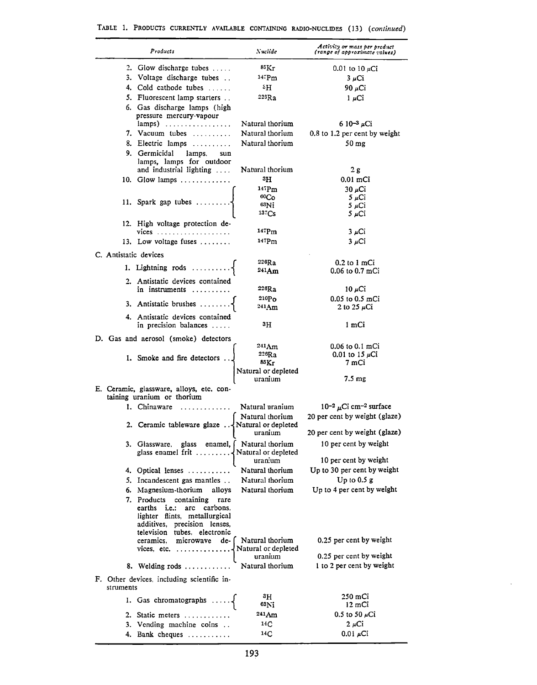|                       | Products                                                                | Nuclide             | Activity or mass per product<br>(range of approximate values) |
|-----------------------|-------------------------------------------------------------------------|---------------------|---------------------------------------------------------------|
|                       | 2. Glow discharge tubes                                                 | 85Kr                | 0.01 to 10 $\mu$ Ci                                           |
|                       | 3. Voltage discharge tubes                                              | $14.5$ Pm           | $3 \mu$ Ci                                                    |
|                       | 4. Cold cathode tubes                                                   | ٠H                  | 90 µCi                                                        |
|                       | 5. Fluorescent lamp starters                                            | $22$ s $\rm Ra$     | $1 \mu$ Ci                                                    |
|                       | 6. Gas discharge lamps (high                                            |                     |                                                               |
|                       | pressure mercury-vapour                                                 |                     |                                                               |
|                       | lamps)                                                                  | Natural thorium     | 6 10 <sup>-3</sup> $\mu$ Ci                                   |
|                       | 7. Vacuum tubes                                                         | Natural thorium     | 0.8 to 1.2 per cent by weight                                 |
|                       | 8. Electric lamps                                                       | Natural thorium     | 50 mg                                                         |
|                       | 9. Germicidal<br>lamps.<br>sun                                          |                     |                                                               |
|                       | lamps, lamps for outdoor                                                |                     |                                                               |
|                       | and industrial lighting                                                 | Natural thorium     | 2 g                                                           |
|                       | 10. Glow lamps $\dots \dots \dots$                                      | зH                  | $0.01$ mCi                                                    |
|                       |                                                                         | $147$ Pm            | 30 µCi                                                        |
|                       |                                                                         | 60Co                | $5 \mu$ Ci                                                    |
|                       | 11. Spark gap tubes                                                     | $83$ Ni             | 5 µCi                                                         |
|                       |                                                                         | 137Cs               | 5 µCi                                                         |
|                       | 12. High voltage protection de-                                         |                     |                                                               |
|                       | $vices$                                                                 | 147Pm               | 3 µCi                                                         |
|                       | 13. Low voltage fuses $\dots\dots$                                      | 147P <sub>m</sub>   | $3 \mu$ Ci                                                    |
| C. Antistatic devices |                                                                         |                     |                                                               |
|                       |                                                                         | 226Ra               | $0.2$ to $1$ mCi                                              |
|                       | 1. Lightning rods                                                       | 241Am               | $0.06$ to $0.7$ mCi                                           |
|                       | 2. Antistatic devices contained                                         |                     |                                                               |
|                       | in instruments                                                          | 226Ra               | 10 µCi                                                        |
|                       |                                                                         | $210P_O$            | $0.05$ to $0.5$ mCi                                           |
|                       | 3. Antistatic brushes                                                   | 241 Am              | 2 to 25 $\mu$ Ci                                              |
|                       | 4. Antistatic devices contained                                         |                     |                                                               |
|                       | in precision balances                                                   | 3H                  | 1 mCi                                                         |
|                       | D. Gas and aerosol (smoke) detectors                                    |                     |                                                               |
|                       |                                                                         | 241 Am              | $0.06$ to $0.1$ mCi                                           |
|                       |                                                                         | 226Ra               | 0.01 to 15 $\mu$ Ci                                           |
|                       | 1. Smoke and fire detectors                                             | 85Kr                | 7 mCi                                                         |
|                       |                                                                         | Natural or depleted |                                                               |
|                       |                                                                         | uranium             | 7.5 mg                                                        |
|                       | E. Ceramic, glassware, alloys, etc. con-                                |                     |                                                               |
|                       | taining uranium or thorium                                              |                     |                                                               |
|                       | 1. Chinaware                                                            | Natural uranium     | 10-2 $\mu$ Ci cm <sup>-2</sup> surface                        |
|                       |                                                                         | Natural thorium     | 20 per cent by weight (glaze)                                 |
|                       | 2. Ceramic tableware glaze $\ldots$ Natural or depleted                 |                     | 20 per cent by weight (glaze)                                 |
|                       |                                                                         | uranium             |                                                               |
|                       | 3. Glassware, glass enamel, Natural thorium                             |                     | 10 per cent by weight                                         |
|                       | glass enamel frit $\dots \dots \cdot \sqrt{\text{Natural or depleted}}$ |                     |                                                               |
|                       |                                                                         | uranium             | 10 per cent by weight                                         |
|                       | 4. Optical lenses                                                       | Natural thorium     | Up to 30 per cent by weight                                   |
|                       | 5. Incandescent gas mantles                                             | Natural thorium     | Up to $0.5 g$                                                 |
|                       | 6. Magnesium-thorium<br>alloys                                          | Natural thorium     | Up to 4 per cent by weight                                    |
|                       | 7. Products containing<br>rare                                          |                     |                                                               |
|                       | earths i.e.:<br>carbons.<br>arc                                         |                     |                                                               |
|                       | lighter flints, metallurgical<br>additives, precision lenses,           |                     |                                                               |
|                       | television tubes, electronic                                            |                     |                                                               |
|                       | microwave de- [Natural thorium<br>ceramics.                             |                     | 0.25 per cent by weight                                       |
|                       |                                                                         |                     |                                                               |
|                       |                                                                         | uranium             | 0.25 per cent by weight                                       |
|                       | 8. Welding rods                                                         | Natural thorium     | 1 to 2 per cent by weight                                     |
|                       | F. Other devices, including scientific in-                              |                     |                                                               |
| struments             |                                                                         |                     |                                                               |
|                       | 1. Gas chromatographs $\ldots$ .                                        | зH<br>63Ni          | 250 mCi<br>12 mCi                                             |
|                       | 2. Static meters                                                        | 241 Am              | 0.5 to 50 $\mu$ Ci                                            |
|                       |                                                                         | 14C                 | $2 \mu$ Ci                                                    |
|                       | 3. Vending machine coins                                                |                     |                                                               |
|                       | 4. Bank cheques                                                         | 14C                 | $0.01 \mu$ Ci                                                 |

|  |  |  |  |  |  | TABLE 1. PRODUCTS CURRENTLY AVAILABLE CONTAINING RADIO-NUCLIDES (13) (continued) |  |  |  |
|--|--|--|--|--|--|----------------------------------------------------------------------------------|--|--|--|
|--|--|--|--|--|--|----------------------------------------------------------------------------------|--|--|--|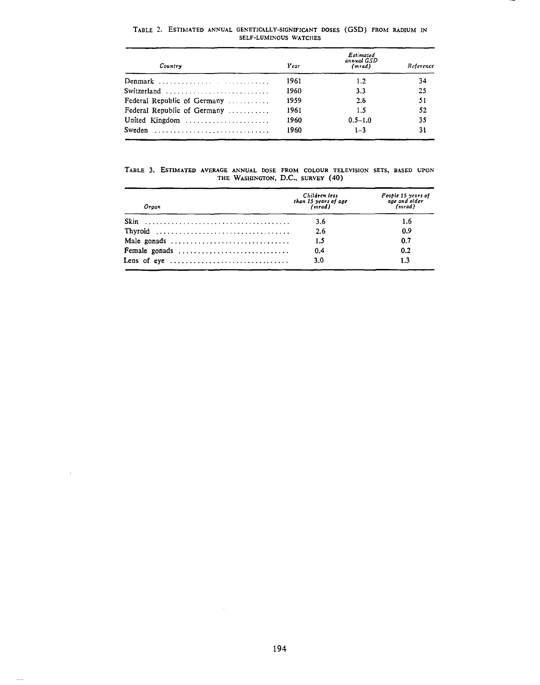| Country                     | Year | Estimated<br>annual GSD<br>(mrad) | Reference |
|-----------------------------|------|-----------------------------------|-----------|
| Denmark                     | 1961 | $1.2\,$                           | 34        |
| Switzerland                 | 1960 | 3.3                               | 25        |
| Federal Republic of Germany | 1959 | 2.6                               | 51        |
| Federal Republic of Germany | 1961 | 1.5                               | 52        |
| United Kingdom              | 1960 | $0.5 - 1.0$                       | 35        |
| Sweden                      | 1960 | $1 - 3$                           | 31        |

TABLE 2. ESTIMATED ANNUAL GENETICALLY-SIGNIFICANT DOSES (GSD) FROM RADIUM IN SELF-LUMIKOUS WATCHES

TABLE 3. EsTlMATED AVERAGE ANNUAL DOSE FROM COLOUR TELEVISION SETS, BASED UPOK THE WASHINGTON, D.C., SURVEY (40)

| Organ                                                                 | Children less<br>than 15 years of age<br>(mrad) | People 15 years of<br>age and older<br>(mrad) |  |
|-----------------------------------------------------------------------|-------------------------------------------------|-----------------------------------------------|--|
|                                                                       | 3.6                                             | 1.6                                           |  |
|                                                                       | 2.6                                             | 0.9                                           |  |
| Male gonads                                                           | 1.5                                             | 0.7                                           |  |
| Female gonads                                                         | 0.4                                             | 0.2                                           |  |
| Lens of eye $\dots\dots\dots\dots\dots\dots\dots\dots\dots\dots\dots$ | 3.0                                             | 1.3                                           |  |

 $\mathcal{A}^{\mathcal{A}}$ 

 $\sim$ 

 $\overline{\phantom{m}}$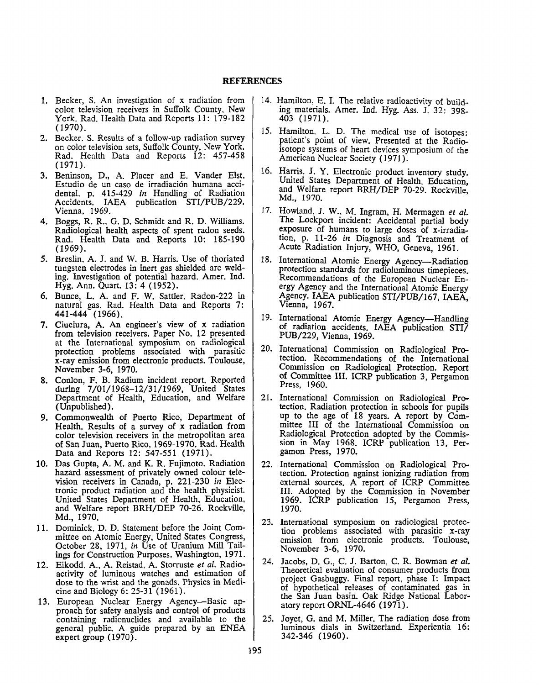- 1. Becker, S. An investigation of x radiation from color television receivers in Suffolk County, New York. Rad. Health Data and Reports 11: 179-182 (1970).
- 2. Becker. S. Results of a follow-up radiation survey on color television sets, Suffolk County, New York. Rad. Health Data and Reports 12: 457-458  $(1971).$
- 3. Beninson, D., A. Placer and E. Vander Elst. Estudio de un caso de irradiación humana accidental, p. 415-429 *in* Handling of Radiation Accidents. IAEA publication STI/PUB/229. Vienna, 1969.
- 4. Boggs, R. R.. G. D. Schmidt and R. D. Williams. Radiological health aspects of spent radon seeds. Rad. Health Data and Reports 10: 185-190 (1969).
- *5.* Breslin, A. J. and W. B. Harris. Use of thoriated tungsten electrodes in inert gas shielded arc welding. Investigation of potential hazard. Amer. Ind. Hyg. Ann. Quart. 13: 4 (1952).
- 6. Bunce, L. A. and F. W. Sattler. Radon-222 in natural gas. Rad. Health Data and Reports 7: **441-444** (1966).
- 7. Ciuciura, A. An engineer's view of x radiation from television receivers. Paper No. 12 presented at the International symposium on radiological protection problems associated with parasitic x-ray emission from electronic products. Toulouse, November 3-6, 1970.
- 8. Conlon, F. B. Radium incident report. Reported during 7/01/1968-12/31/1969, United States Department of Health, Education, and Welfare (Unpublished).
- 9. Commonwealth of Puerto Rico, Department of Health. Results of a survey of x radiation from color television receivers in the metropolitan area of San Juan, Puerto Rico, 1969-1970. Rad. Health Data and Reports 12: 547-551 (1971).
- 10. Das Gupta, **A. M.** and **K. R.** Fujimoto. Radiation hazard assessment of privately owned colour television receivers in Canada, p. 221-230 *in* Electronic product radiation and the health physicist. United States Department of Health, Education, and Welfare report BRH/DEP 70-26. Rockville, **Md.,** 1970.
- 11. Dominick, D. D. Statement before the Joint Committee on Atomic Energy, United States Congress, October 28, 1971, *in* Use of Uranium Mill Tailings for Construction Purposes. Washington, 1971.
- 12. Eikodd. A., A. Reistad, A. Storruste *et al.* Radioactivity of luminous watches and estimation of dose to the wrist and the gonads. Physics in Medicine and Biology 6: 25-31 (1961).
- 13. European Nuclear Energy Agency--Basic approach for safety analysis and control of products containing radionuclides and available to the general public. A guide prepared by an ENEA expert group (1970).
- 14. Hamilton, E. I. The relative radioactivity of building materials. Amer. Ind. Hyg. Ass. J. 32: 398- 403 (1971).
- 15. Hamilton, L. D. The medical use of isotopes: patient's point of view. Presented at the Radioisotope systems of heart devices symposium of the American Nuclear Society (1971).
- 16. Harris, J. Y. Electronic product inventory study. United States Department of Health. Education, and Welfare report BRH/DEP 70-29. Rockville, Md., 1970.
- 17. Howland, J. **W .. M.** Ingram, H. Mermagen *et al.*  The Lockport incident: Accidental partial body exposure of humans to large doses of x-irradiation, p. 11-26 in Diagnosis and Treatment of Acute Radiation Injury, WHO, Geneva, 1961.
- 18. International Atomic Energy Agency-Radiation protection standards for radioluminous timepieces. Recommendations of the European Nuclear Energy Agency and the International Atomic Energy Agency. IAEA publication STI/PVB/167, IAEA, Vienna, 1967.
- 19. International Atomic Energy Agency-Handling of radiation accidents. IAEA publication STI/ PUB/229, Vienna, 1969.
- 20. International Commission on Radiological Protection. Recommendations of the International Commission on Radiological Protection. Report of Committee III. ICRP publication 3, Pergamon Press, 1960.
- 21. International Commission on Radiological Protection. Radiation protection in schools for pupils up to the age of 18 years. A report by Committee Ill of the International Commission on Radiological Protection adopted by the Commission in May 1968. ICRP publication 13, Pergamon Press, 1970.
- 22. International Commission on Radiological Protection. Protection against ionizing radiation from external sources. A report of ICRP Committee Ill. Adopted by the Commission in November 1969. ICRP publication 15, Pergamon Press, 1970.
- 23. International symposium on radiological protection problems associated with parasitic x-ray emission from electronic products. Toulouse, November 3-6, 1970.
- 24. Jacobs, D. G., C. J. Barton. C. R Bowman *et al.*  Theoretical evaluation of consumer products from project Gasbuggy. Final report. phase I: Impact of hypothetical releases of contaminated gas in the San Juan basin. Oak Ridge National Laboratory report ORNL-4646 (1971).
- 25. Joyet, G. and M. Miller. The radiation dose from luminous dials in Switzerland. Experientia 16: 342-346 (1960).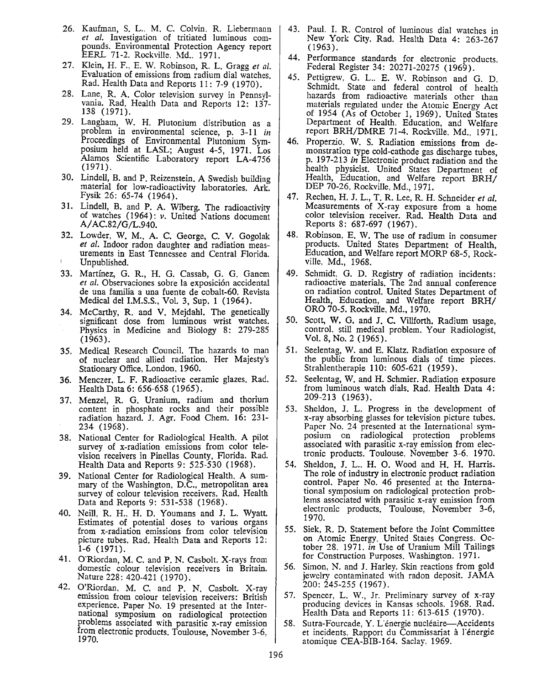- 26. Kaufman, S. L., M. C. Colvin, R. Liebermann *et al.* Investigation of tritiated luminous compounds. Environmental Protection Agency report EERL 71-2. Rockville. Md., 1971.
- 27. Klein, H. F., E.W. Robinson, R. L. Gragg *et al.*  Evaluation of emissions from radium dial watches. Rad. Health Data and Reports 11: 7-9 (1970).
- 28. Lane, R. A. Color television survey in Pennsylvania. Rad. Health Data and Reports 12: 137- 138 (1971).
- 29. Langham, W. H. Plutonium distribution as a problem in environmental science, p. 3-11 *in*  Proceedings of Environmental Plutonium Symposium held at LASL; August 4-5, 1971. Los Alamos Scientific Laboratory report LA-4756 (1971).
- 30. Lindell, B. and P. Reizenstein. **A** Swedish building material for low-radioactivity laboratories. Ark. Fysik 26: 65-74 (1964).
- 31. Lindell, B. and P. A. Wiberg. The radioactivity of watches (1964): *v*. United Nations document A/ AC.82/G/L.940.
- 32. Lowder, W. M., A. C. George, C. V. Gogolak *et al.* Indoor radon daughter and radiation measurements in East Tennessee and Central Florida. Unpublished.
- 33. Martinez, G. R., H. G. Cassab, G. G. Ganem *et al.* Observaciones sobre la exposición accidental de una familia a una fuente de cobalt-60. Revista Medical del I.M.S.S., Vol. 3, Sup. 1 (1964).
- 34. McCarthy, R. and V. Mejdahl. The genetically significant dose from luminous wrist watches. Physics in Medicine and Biology 8: 279-285 (1963).
- 35. Medical Research Council. The hazards to man of nuclear and allied radiation. Her Majesty's Stationary Office, London, 1960.
- 36. Menczer, L. F. Radioactive ceramic glazes. Rad. Health Data 6: 656-658 (1965).
- 37. Menzel, R. G. Uranium, radium and thorium content in phosphate rocks and their possible radiation hazard. J. Agr. Food Chem. 16: 231- 234 (1968).
- 38. National Center for Radiological Health. A pilot survey of x-radiation emissions from color television receivers in Pinellas County, Florida. Rad. Health Data and Reports 9: 525-530 (1968).
- 39. National Center for Radiological Health. A summary of the Washington, D.C., metropolitan area survey of colour television receivers. Rad. Health Data and Reports 9: 531-538 (1968).
- 40. Neill, R. H., H. D. Youmans and J. L. Wyatt. Estimates of potential doses to various organs from x-radiation emissions from color television picture tubes. Rad. Health Data and Reports 12: 1-6 (1971).
- 41. O'Riordan, M. C. and P. N. Casbolt. X-rays from domestic colour television receivers in Britain. Nature 228: 420-421 (1970).
- 42. O'Riordan, M. C. and P. N. Casbolt. X-ray emission from colour television receivers: British experience. Paper No. 19 presented at the International symposium on radiological protection problems associated with parasitic x-ray emission from electronic products. Toulouse, November 3-6, 1970.
- 43. Paul. I. R. Control of luminous dial watches in New York City. Rad. Health Data 4: 263-267 (1963).
- 44. Performance standards for electronic products. Federal Register 34: 20271-20275 (1969).
- 45. Pettigrew. G. L.. E. W. Robinson and G. D. Schmidt. State and federal control of health hazards from radioactive materials other than materials regulated under the Atomic Energy Act of 1954 (As of October 1, 1969). United States Department of Health. Education. and Welfare report BRH/DMRE 71-4. Rockville. Md., 1971.
- 46. Properzio. W. S. Radiation emissions from demonstration type cold-cathode gas discharge tubes, p. 197-213 *in* Electronic product radiation and the health physicist. United States Department of Health, Education, and Welfare report BRH/ DEP 70-26. Rockville, Md., 1971.
- 47. Rechen, H.J. L., T. R. Lee, R.H. Schneider *et al.*  Measurements of X-ray exposure from a home color television receiver. Rad. Health Data and Reports 8: 687-697 (1967).
- 48. Robinson, E. W. The use of radium in consumer products. United States Department of Health, Education, and Welfare report MORP 68-5, Rockville, Md., 1968.
- 49. Schmidt. G. D. Registry of radiation incidents: radioactive materials. The 2nd annual conference on radiation control. United States Department of Health, Education, and Welfare report BRH/ ORO 70-5. Rockville, Md., 1970.
- 50. Scott, **W.** G. and J. C. Villforth. Radium usage, control. still medical problem. Your Radiologist, Vol. 8, No. 2 (1965).
- 51. Seelentag, W. and E. Klatz. Radiation exposure of the public from luminous dials of time pieces. Strahlentherapie 110: 605-621 (1959).
- 52. Seelentag, W. and H. Schmier. Radiation exposure from luminous watch dials. Rad. Health Data 4: 209-213 (1963).
- 53. Sheldon, J. L. Progress in the development of x-ray absorbing glasses for television picture tubes. Paper No. 24 presented at the International symposium on radiological protection problems associated with parasitic x-ray emission from electronic products. Toulouse. November 3-6. 1970.
- 54. Sheldon, J. L.. H. 0. Wood and H. H. Harris. The role of industry in electronic product radiation control. Paper No. 46 presented at the International symposium on radiological protection problems associated with parasitic x-ray emission from electronic products. Toulouse, November 3-6, 1970.
- 55. Siek, R. D. Statement before the Joint Committee on Atomic Energy. United States Congress. October 28. 1971. *in* Use of Uranium Mill Tailings for Construction Purposes. Washington. 1971.
- 56. Simon, N. and J. Harley. Skin reactions from gold jewelry contaminated with radon deposit. JAMA 200: 245-255 (1967).
- 57. Spencer, L. W., Jr. Preliminary survey of x-ray producing devices in Kansas schools. 1968. Rad. Health Data and Reports 11: 613-615 (1970).
- 58. Sutra-Fourcade, Y. L'énergie nucléaire—Accidents et incidents. Rapport du Commissariat à l'énergie atomique CEA-BIB-164. Saclay. 1969.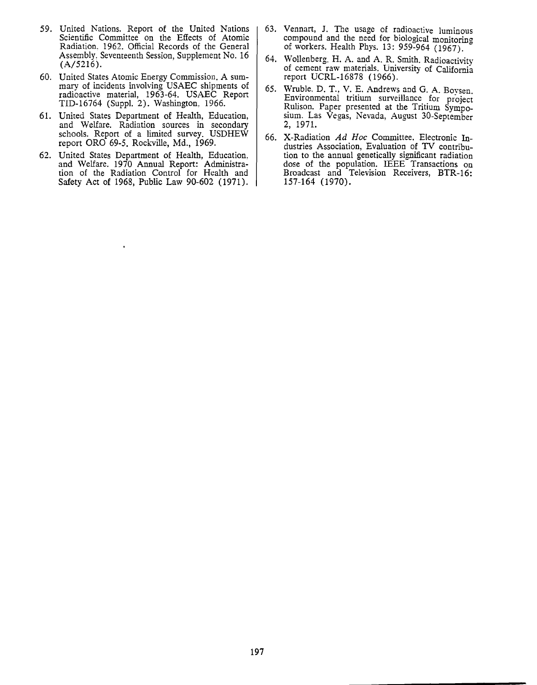- 59. United Nations. Report of the United Nations Scientific Committee on the Effects of Atomic Radiation. 1962. Official Records of the General Assembly, Seventeenth Session, Supplement No. 16 (A/5216).
- 60. United States Atomic Energy Commission. A summary of incidents involving USAEC shipments of radioactive material, 1963-64. USAEC Report TID-16764 (Suppl. 2). Washington, 1966.
- 61. United States Department of Health, Education, and Welfare. Radiation sources in secondary schools. Report of a limited survey. USDHEW report ORO 69-5. Rockville, Md., 1969.
- 62. United States Department of Health, Education, and Welfare. 1970 Annual Report: Administration of the Radiation Control for Health and Safety Act of 1968, Public Law 90-602 (1971).
- 63. Vennart, J. The usage of radioactive luminous compound and the need for biological monitorin2 of workers. Health Phys. 13: 959-964 (1967).
- 64. Wollenberg. H. A. and A. R. Smith. Radioactivity of cement raw materials. University of California report UCRL-16878 (1966).
- 65. Wruble. D. T., V. E. Andrews and G. A. Bovsen. Environmental tritium surveillance for project Rulison. Paper presented at the Tritium Symposium. Las Vegas, Nevada, August 30-September 2, 1971.
- 66. X-Radiation Ad Hoe Committee. Electronic Industries Association, Evaluation of TV contribution to the annual genetically significant radiation dose of the population. IEEE Transactions on Broadcast and Television Receivers, BTR-16: 157-164 (1970).